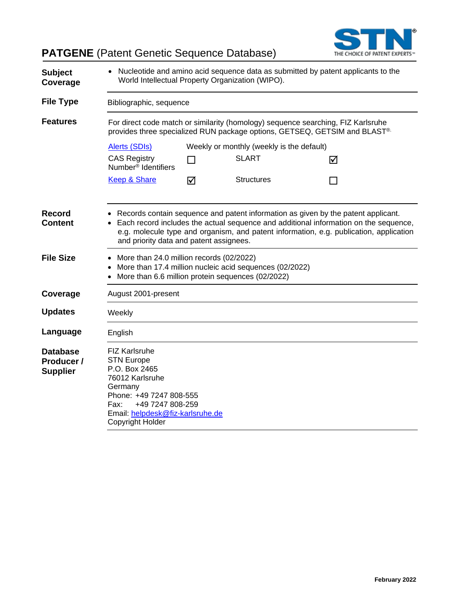**PATGENE** (Patent Genetic Sequence Database)



| <b>Subject</b><br>Coverage                       | • Nucleotide and amino acid sequence data as submitted by patent applicants to the<br>World Intellectual Property Organization (WIPO).                                                                                                                                                                           |                                                                                                                                                               |                                           |                |  |  |
|--------------------------------------------------|------------------------------------------------------------------------------------------------------------------------------------------------------------------------------------------------------------------------------------------------------------------------------------------------------------------|---------------------------------------------------------------------------------------------------------------------------------------------------------------|-------------------------------------------|----------------|--|--|
| <b>File Type</b>                                 | Bibliographic, sequence                                                                                                                                                                                                                                                                                          |                                                                                                                                                               |                                           |                |  |  |
| <b>Features</b>                                  |                                                                                                                                                                                                                                                                                                                  | For direct code match or similarity (homology) sequence searching, FIZ Karlsruhe<br>provides three specialized RUN package options, GETSEQ, GETSIM and BLAST® |                                           |                |  |  |
|                                                  | Alerts (SDIs)                                                                                                                                                                                                                                                                                                    |                                                                                                                                                               | Weekly or monthly (weekly is the default) |                |  |  |
|                                                  | <b>CAS Registry</b><br>Number <sup>®</sup> Identifiers                                                                                                                                                                                                                                                           | $\Box$                                                                                                                                                        | <b>SLART</b>                              | ☑              |  |  |
|                                                  | <b>Keep &amp; Share</b>                                                                                                                                                                                                                                                                                          | ☑                                                                                                                                                             | <b>Structures</b>                         | $\blacksquare$ |  |  |
| <b>Record</b><br><b>Content</b>                  | • Records contain sequence and patent information as given by the patent applicant.<br>Each record includes the actual sequence and additional information on the sequence,<br>e.g. molecule type and organism, and patent information, e.g. publication, application<br>and priority data and patent assignees. |                                                                                                                                                               |                                           |                |  |  |
| <b>File Size</b>                                 | • More than 24.0 million records (02/2022)<br>More than 17.4 million nucleic acid sequences (02/2022)<br>More than 6.6 million protein sequences (02/2022)                                                                                                                                                       |                                                                                                                                                               |                                           |                |  |  |
| Coverage                                         | August 2001-present                                                                                                                                                                                                                                                                                              |                                                                                                                                                               |                                           |                |  |  |
| <b>Updates</b>                                   | Weekly                                                                                                                                                                                                                                                                                                           |                                                                                                                                                               |                                           |                |  |  |
| Language                                         | English                                                                                                                                                                                                                                                                                                          |                                                                                                                                                               |                                           |                |  |  |
| <b>Database</b><br>Producer /<br><b>Supplier</b> | <b>FIZ Karlsruhe</b><br><b>STN Europe</b><br>P.O. Box 2465<br>76012 Karlsruhe<br>Germany<br>Phone: +49 7247 808-555<br>Fax:<br>+49 7247 808-259<br>Email: helpdesk@fiz-karlsruhe.de<br>Copyright Holder                                                                                                          |                                                                                                                                                               |                                           |                |  |  |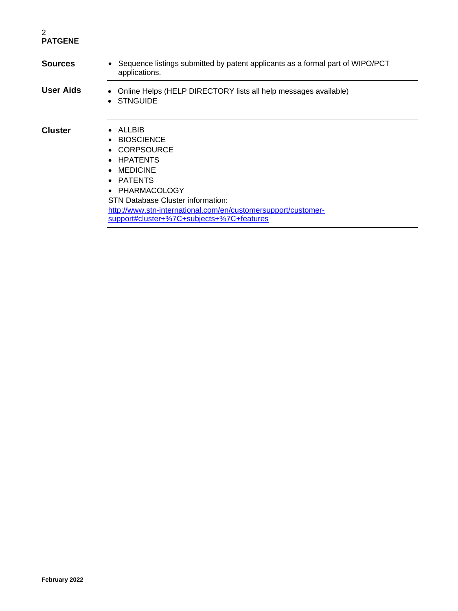| <b>Sources</b>   | Sequence listings submitted by patent applicants as a formal part of WIPO/PCT<br>$\bullet$<br>applications.                                                                                                                                                                                                      |
|------------------|------------------------------------------------------------------------------------------------------------------------------------------------------------------------------------------------------------------------------------------------------------------------------------------------------------------|
| <b>User Aids</b> | • Online Helps (HELP DIRECTORY lists all help messages available)<br><b>STNGUIDE</b><br>$\bullet$                                                                                                                                                                                                                |
| <b>Cluster</b>   | ALLBIB<br>$\bullet$<br>• BIOSCIENCE<br>• CORPSOURCE<br>• HPATENTS<br><b>MEDICINE</b><br>$\bullet$<br>PATENTS<br>$\bullet$<br>PHARMACOLOGY<br>$\bullet$<br><b>STN Database Cluster information:</b><br>http://www.stn-international.com/en/customersupport/customer-<br>support#cluster+%7C+subjects+%7C+features |
|                  |                                                                                                                                                                                                                                                                                                                  |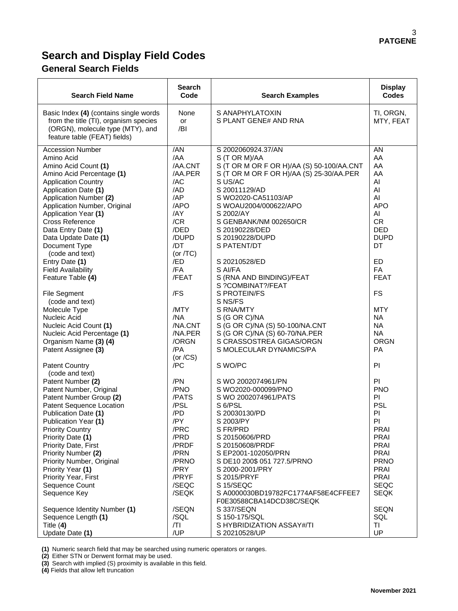# **Search and Display Field Codes**

## **General Search Fields**

| <b>Search Field Name</b>                                                                                                                                                                                                                                                                                                                                                                                                                                                                                                                                                  | <b>Search</b><br>Code                                                                                                                                                                          | <b>Search Examples</b>                                                                                                                                                                                                                                                                                                                                                                                                                                                                                                                     | <b>Display</b><br><b>Codes</b>                                                                                                                                                                                         |
|---------------------------------------------------------------------------------------------------------------------------------------------------------------------------------------------------------------------------------------------------------------------------------------------------------------------------------------------------------------------------------------------------------------------------------------------------------------------------------------------------------------------------------------------------------------------------|------------------------------------------------------------------------------------------------------------------------------------------------------------------------------------------------|--------------------------------------------------------------------------------------------------------------------------------------------------------------------------------------------------------------------------------------------------------------------------------------------------------------------------------------------------------------------------------------------------------------------------------------------------------------------------------------------------------------------------------------------|------------------------------------------------------------------------------------------------------------------------------------------------------------------------------------------------------------------------|
| Basic Index (4) (contains single words<br>from the title (TI), organism species<br>(ORGN), molecule type (MTY), and<br>feature table (FEAT) fields)                                                                                                                                                                                                                                                                                                                                                                                                                       | None<br><b>or</b><br>/BI                                                                                                                                                                       | S ANAPHYLATOXIN<br>S PLANT GENE# AND RNA                                                                                                                                                                                                                                                                                                                                                                                                                                                                                                   | TI, ORGN,<br>MTY, FEAT                                                                                                                                                                                                 |
| <b>Accession Number</b><br>Amino Acid<br>Amino Acid Count (1)<br>Amino Acid Percentage (1)<br><b>Application Country</b><br>Application Date (1)<br>Application Number (2)<br>Application Number, Original<br>Application Year (1)<br>Cross Reference<br>Data Entry Date (1)<br>Data Update Date (1)<br>Document Type<br>(code and text)<br>Entry Date (1)<br><b>Field Availability</b><br>Feature Table (4)<br><b>File Segment</b><br>(code and text)<br>Molecule Type<br>Nucleic Acid<br>Nucleic Acid Count (1)<br>Nucleic Acid Percentage (1)<br>Organism Name (3) (4) | 7AN<br>/AA<br>/AA.CNT<br>/AA.PER<br>/AC<br>/AD<br>/AP<br>/APO<br>/AY<br>/CR<br>/DED<br>/DUPD<br>/DT<br>(or $/TC$ )<br>/ED<br>/FA<br>/FEAT<br>/FS<br>/MTY<br>/NA<br>/NA.CNT<br>/NA.PER<br>/ORGN | S 2002060924.37/AN<br>S (T OR M)/AA<br>S (T OR M OR F OR H)/AA (S) 50-100/AA.CNT<br>S (T OR M OR F OR H)/AA (S) 25-30/AA.PER<br>S US/AC<br>S 20011129/AD<br>S WO2020-CA51103/AP<br>S WOAU2004/000622/APO<br>S 2002/AY<br>S GENBANK/NM 002650/CR<br>S 20190228/DED<br>S 20190228/DUPD<br>S PATENT/DT<br>S 20210528/ED<br>S AI/FA<br>S (RNA AND BINDING)/FEAT<br>S ?COMBINAT?/FEAT<br>S PROTEIN/FS<br>S NS/FS<br>S RNA/MTY<br>S (G OR C)/NA<br>S (G OR C)/NA (S) 50-100/NA.CNT<br>S (G OR C)/NA (S) 60-70/NA.PER<br>S CRASSOSTREA GIGAS/ORGN | AN<br>AA<br>AA<br>AA<br>AI<br>AI<br>AI<br><b>APO</b><br>AI<br><b>CR</b><br><b>DED</b><br><b>DUPD</b><br>DT<br><b>ED</b><br>FA<br><b>FEAT</b><br>FS<br><b>MTY</b><br><b>NA</b><br><b>NA</b><br><b>NA</b><br><b>ORGN</b> |
| Patent Assignee (3)<br><b>Patent Country</b>                                                                                                                                                                                                                                                                                                                                                                                                                                                                                                                              | /PA<br>(or $/CS$ )<br>/PC                                                                                                                                                                      | S MOLECULAR DYNAMICS/PA<br>S WO/PC                                                                                                                                                                                                                                                                                                                                                                                                                                                                                                         | <b>PA</b><br>PI                                                                                                                                                                                                        |
| (code and text)<br>Patent Number (2)<br>Patent Number, Original<br>Patent Number Group (2)<br>Patent Sequence Location<br>Publication Date (1)<br>Publication Year (1)<br><b>Priority Country</b><br>Priority Date (1)<br>Priority Date, First<br>Priority Number (2)<br>Priority Number, Original<br>Priority Year (1)<br>Priority Year, First<br>Sequence Count<br>Sequence Key<br>Sequence Identity Number (1)                                                                                                                                                         | /PN<br>/PNO<br>/PATS<br>/PSL<br>/PD<br>/PY<br>/PRC<br>/PRD<br>/PRDF<br>/PRN<br>/PRNO<br>/PRY<br>/PRYF<br>/SEQC<br>/SEQK<br>/SEQN                                                               | S WO 2002074961/PN<br>S WO2020-000099/PNO<br>S WO 2002074961/PATS<br>S 6/PSL<br>S 20030130/PD<br>S 2003/PY<br>S FR/PRD<br>S 20150606/PRD<br>S 20150608/PRDF<br>S EP2001-102050/PRN<br>S DE10 200\$ 051 727.5/PRNO<br>S 2000-2001/PRY<br>S 2015/PRYF<br>S 15/SEQC<br>S A0000030BD19782FC1774AF58E4CFFEE7<br>F0E30588CBA14DCD38C/SEQK<br>S 337/SEQN                                                                                                                                                                                          | PI.<br><b>PNO</b><br>PI.<br><b>PSL</b><br>PI<br>PI<br><b>PRAI</b><br><b>PRAI</b><br><b>PRAI</b><br><b>PRAI</b><br><b>PRNO</b><br><b>PRAI</b><br><b>PRAI</b><br>SEQC<br><b>SEQK</b><br><b>SEQN</b>                      |
| Sequence Length (1)<br>Title $(4)$<br>Update Date (1)                                                                                                                                                                                                                                                                                                                                                                                                                                                                                                                     | /SQL<br>/TI<br>/UP                                                                                                                                                                             | S 150-175/SQL<br>S HYBRIDIZATION ASSAY#/TI<br>S 20210528/UP                                                                                                                                                                                                                                                                                                                                                                                                                                                                                | SQL<br>ΤI<br>UP                                                                                                                                                                                                        |

**(1)** Numeric search field that may be searched using numeric operators or ranges.

**(2)** Either STN or Derwent format may be used.

**(3)** Search with implied (S) proximity is available in this field.

**(4)** Fields that allow left truncation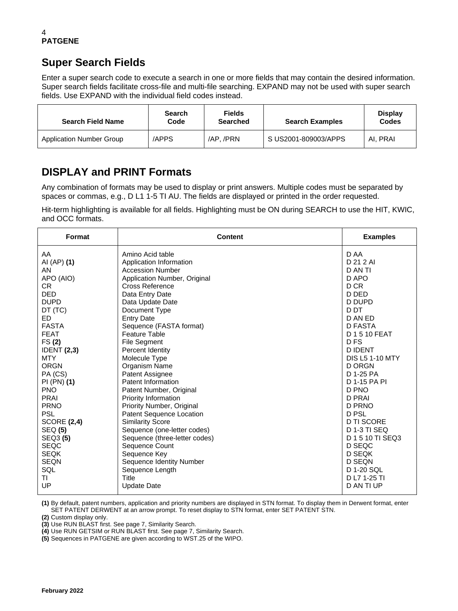# **Super Search Fields**

Enter a super search code to execute a search in one or more fields that may contain the desired information. Super search fields facilitate cross-file and multi-file searching. EXPAND may not be used with super search fields. Use EXPAND with the individual field codes instead.

| <b>Search Field Name</b>        | <b>Search</b><br>Code | <b>Fields</b><br><b>Searched</b> | <b>Search Examples</b> | <b>Display</b><br>Codes |
|---------------------------------|-----------------------|----------------------------------|------------------------|-------------------------|
| <b>Application Number Group</b> | /APPS                 | /AP./PRN                         | S US2001-809003/APPS   | AI. PRAI                |

# **DISPLAY and PRINT Formats**

Any combination of formats may be used to display or print answers. Multiple codes must be separated by spaces or commas, e.g., D L1 1-5 TI AU. The fields are displayed or printed in the order requested.

Hit-term highlighting is available for all fields. Highlighting must be ON during SEARCH to use the HIT, KWIC, and OCC formats.

| <b>Format</b>      | <b>Content</b>                | <b>Examples</b>        |
|--------------------|-------------------------------|------------------------|
| AA                 | Amino Acid table              | D AA                   |
| AI (AP) (1)        | Application Information       | D 21 2 AI              |
| AN.                | <b>Accession Number</b>       | D AN TI                |
| APO (AIO)          | Application Number, Original  | D APO                  |
| CR.                | Cross Reference               | D CR                   |
| <b>DED</b>         | Data Entry Date               | D DED                  |
| <b>DUPD</b>        | Data Update Date              | D DUPD                 |
| DT (TC)            | Document Type                 | D DT                   |
| ED.                | <b>Entry Date</b>             | D AN ED                |
| <b>FASTA</b>       | Sequence (FASTA format)       | D FASTA                |
| <b>FEAT</b>        | <b>Feature Table</b>          | D 1 5 10 FEAT          |
| FS(2)              | <b>File Segment</b>           | D <sub>FS</sub>        |
| <b>IDENT</b> (2,3) | Percent Identity              | <b>DIDENT</b>          |
| <b>MTY</b>         | Molecule Type                 | <b>DIS L5 1-10 MTY</b> |
| <b>ORGN</b>        | Organism Name                 | <b>D ORGN</b>          |
| PA (CS)            | Patent Assignee               | D 1-25 PA              |
| PI(PN) (1)         | Patent Information            | D 1-15 PA PI           |
| <b>PNO</b>         | Patent Number, Original       | D PNO                  |
| PRAI               | Priority Information          | <b>D PRAI</b>          |
| <b>PRNO</b>        | Priority Number, Original     | D PRNO                 |
| <b>PSL</b>         | Patent Sequence Location      | D PSL                  |
| <b>SCORE (2,4)</b> | <b>Similarity Score</b>       | <b>D TI SCORE</b>      |
| <b>SEQ (5)</b>     | Sequence (one-letter codes)   | <b>D 1-3 TI SEQ</b>    |
| SEQ3 (5)           | Sequence (three-letter codes) | D 1 5 10 TI SEQ3       |
| <b>SEQC</b>        | Sequence Count                | D SEQC                 |
| <b>SEQK</b>        | Sequence Key                  | D SEQK                 |
| <b>SEQN</b>        | Sequence Identity Number      | D SEQN                 |
| SQL                | Sequence Length               | D 1-20 SQL             |
| ΤI                 | Title                         | D L7 1-25 TI           |
| UP                 | <b>Update Date</b>            | D AN TI UP             |

**(1)** By default, patent numbers, application and priority numbers are displayed in STN format. To display them in Derwent format, enter SET PATENT DERWENT at an arrow prompt. To reset display to STN format, enter SET PATENT STN.

**(2)** Custom display only.

**(3)** Use RUN BLAST first. See page 7, Similarity Search.

**(4)** Use RUN GETSIM or RUN BLAST first. See page 7, Similarity Search.

**(5)** Sequences in PATGENE are given according to WST.25 of the WIPO.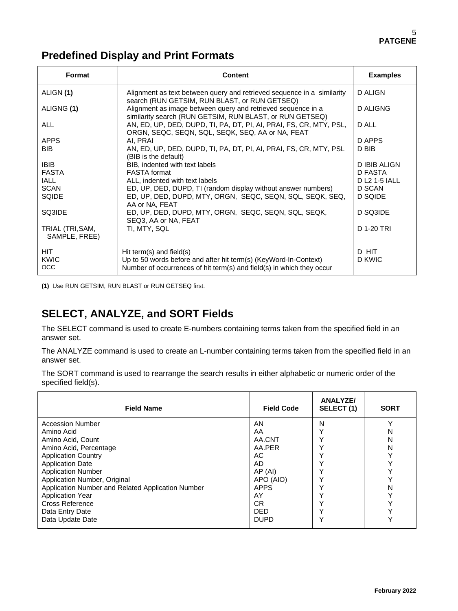# **Predefined Display and Print Formats**

| Format                            | <b>Content</b>                                                                                                                                                        | <b>Examples</b>     |
|-----------------------------------|-----------------------------------------------------------------------------------------------------------------------------------------------------------------------|---------------------|
| ALIGN (1)                         | Alignment as text between query and retrieved sequence in a similarity<br>search (RUN GETSIM, RUN BLAST, or RUN GETSEQ)                                               | D ALIGN             |
| ALIGNG (1)                        | Alignment as image between query and retrieved sequence in a<br>similarity search (RUN GETSIM, RUN BLAST, or RUN GETSEQ)                                              | D ALIGNG            |
| <b>ALL</b>                        | AN, ED, UP, DED, DUPD, TI, PA, DT, PI, AI, PRAI, FS, CR, MTY, PSL,<br>ORGN, SEQC, SEQN, SQL, SEQK, SEQ, AA or NA, FEAT                                                | D ALL               |
| <b>APPS</b>                       | AI, PRAI                                                                                                                                                              | D APPS              |
| <b>BIB</b>                        | AN, ED, UP, DED, DUPD, TI, PA, DT, PI, AI, PRAI, FS, CR, MTY, PSL<br>(BIB is the default)                                                                             | D BIB               |
| <b>IBIB</b>                       | BIB, indented with text labels                                                                                                                                        | <b>D IBIB ALIGN</b> |
| <b>FASTA</b>                      | <b>FASTA</b> format                                                                                                                                                   | D FASTA             |
| <b>IALL</b>                       | ALL, indented with text labels                                                                                                                                        | D L2 1-5 IALL       |
| <b>SCAN</b>                       | ED, UP, DED, DUPD, TI (random display without answer numbers)                                                                                                         | D SCAN              |
| SQIDE                             | ED, UP, DED, DUPD, MTY, ORGN, SEQC, SEQN, SQL, SEQK, SEQ,<br>AA or NA, FEAT                                                                                           | D SQIDE             |
| SQ3IDE                            | ED, UP, DED, DUPD, MTY, ORGN, SEQC, SEQN, SQL, SEQK,<br>SEQ3, AA or NA, FEAT                                                                                          | D SQ3IDE            |
| TRIAL (TRI, SAM,<br>SAMPLE, FREE) | TI, MTY, SQL                                                                                                                                                          | D 1-20 TRI          |
| <b>HIT</b><br>KWIC<br><b>OCC</b>  | Hit term(s) and field(s)<br>Up to 50 words before and after hit term(s) (KeyWord-In-Context)<br>Number of occurrences of hit term(s) and field(s) in which they occur | D HIT<br>D KWIC     |

**(1)** Use RUN GETSIM, RUN BLAST or RUN GETSEQ first.

# **SELECT, ANALYZE, and SORT Fields**

The SELECT command is used to create E-numbers containing terms taken from the specified field in an answer set.

The ANALYZE command is used to create an L-number containing terms taken from the specified field in an answer set.

The SORT command is used to rearrange the search results in either alphabetic or numeric order of the specified field(s).

| <b>Field Name</b>                                 | <b>Field Code</b> | <b>ANALYZE/</b><br>SELECT (1) | <b>SORT</b> |
|---------------------------------------------------|-------------------|-------------------------------|-------------|
| <b>Accession Number</b>                           | AN                | Ν                             | v           |
| Amino Acid                                        | AA                |                               | N           |
| Amino Acid, Count                                 | AA.CNT            |                               | N           |
| Amino Acid, Percentage                            | AA.PER            |                               | N           |
| <b>Application Country</b>                        | AC                |                               |             |
| <b>Application Date</b>                           | AD.               |                               |             |
| <b>Application Number</b>                         | AP(Al)            |                               |             |
| Application Number, Original                      | APO (AIO)         |                               |             |
| Application Number and Related Application Number | <b>APPS</b>       |                               | N           |
| <b>Application Year</b>                           | AY                |                               |             |
| Cross Reference                                   | CR.               |                               |             |
| Data Entry Date                                   | <b>DED</b>        |                               |             |
| Data Update Date                                  | <b>DUPD</b>       |                               | $\check{ }$ |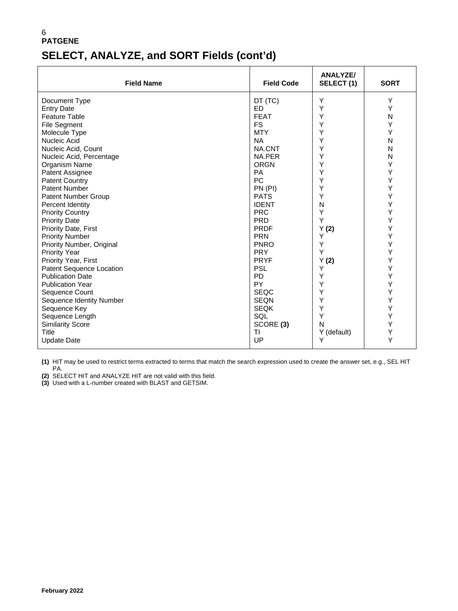# **SELECT, ANALYZE, and SORT Fields (cont'd)**

| <b>Field Name</b>          | <b>Field Code</b> | <b>ANALYZE/</b><br>SELECT (1) | <b>SORT</b>  |
|----------------------------|-------------------|-------------------------------|--------------|
| Document Type              | DT (TC)           | Y                             | Υ            |
| <b>Entry Date</b>          | <b>ED</b>         | Υ                             | Υ            |
| <b>Feature Table</b>       | <b>FEAT</b>       | Υ                             | $\mathsf{N}$ |
| <b>File Segment</b>        | <b>FS</b>         | Υ                             | Y            |
| Molecule Type              | <b>MTY</b>        | Υ                             | Υ            |
| Nucleic Acid               | <b>NA</b>         | Υ                             | N            |
| Nucleic Acid, Count        | NA.CNT            | Υ                             | N            |
| Nucleic Acid, Percentage   | NA.PER            | Υ                             | N            |
| Organism Name              | <b>ORGN</b>       | Υ                             | Y            |
| Patent Assignee            | <b>PA</b>         | Υ                             | Υ            |
| <b>Patent Country</b>      | <b>PC</b>         | Υ                             | Y            |
| <b>Patent Number</b>       | PN (PI)           | Υ                             | Y            |
| <b>Patent Number Group</b> | <b>PATS</b>       | Υ                             | Υ            |
| Percent Identity           | <b>IDENT</b>      | N                             | Υ            |
| <b>Priority Country</b>    | <b>PRC</b>        | Υ                             | Υ            |
| <b>Priority Date</b>       | <b>PRD</b>        | Υ                             | Υ            |
| Priority Date, First       | <b>PRDF</b>       | Y(2)                          | Υ            |
| <b>Priority Number</b>     | <b>PRN</b>        | Y                             | Υ            |
| Priority Number, Original  | <b>PNRO</b>       | Υ                             | Υ            |
| <b>Priority Year</b>       | <b>PRY</b>        | Y                             | Y            |
| Priority Year, First       | <b>PRYF</b>       | Y(2)                          | Υ            |
| Patent Sequence Location   | <b>PSL</b>        | Y                             | Υ            |
| <b>Publication Date</b>    | <b>PD</b>         | Υ                             | Υ            |
| <b>Publication Year</b>    | PY                | Υ                             | Υ            |
| Sequence Count             | <b>SEQC</b>       | Υ                             | Υ            |
| Sequence Identity Number   | <b>SEQN</b>       | Υ                             | Υ            |
| Sequence Key               | <b>SEQK</b>       | Υ                             | Υ            |
| Sequence Length            | SQL               | Υ                             | Υ            |
| <b>Similarity Score</b>    | SCORE (3)         | N                             | Y            |
| Title                      | TI                | Y (default)                   | Υ            |
| <b>Update Date</b>         | UP                | Y                             | Y            |

**(1)** HIT may be used to restrict terms extracted to terms that match the search expression used to create the answer set, e.g., SEL HIT PA.

**(2)** SELECT HIT and ANALYZE HIT are not valid with this field.

**(3)** Used with a L-number created with BLAST and GETSIM.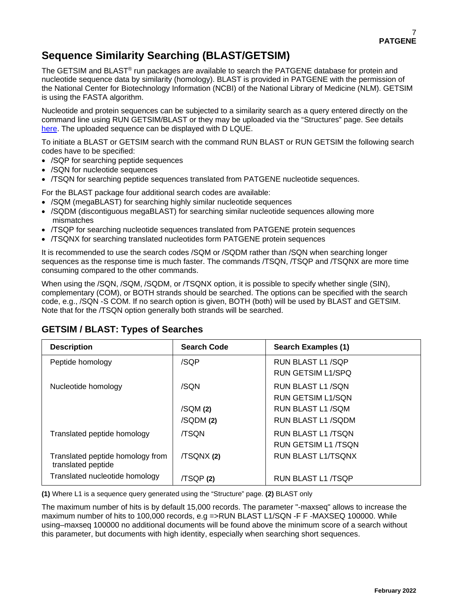# **Sequence Similarity Searching (BLAST/GETSIM)**

The GETSIM and BLAST® run packages are available to search the PATGENE database for protein and nucleotide sequence data by similarity (homology). BLAST is provided in PATGENE with the permission of the National Center for Biotechnology Information (NCBI) of the National Library of Medicine (NLM). GETSIM is using the FASTA algorithm.

Nucleotide and protein sequences can be subjected to a similarity search as a query entered directly on the command line using RUN GETSIM/BLAST or they may be uploaded via the "Structures" page. See details [here.](https://www.stn.org/help/stnext/#t=Building_the_Query%2FUsing_Biosequences%2FUsing_Biosequences_for_Queries.htm) The uploaded sequence can be displayed with D LQUE.

To initiate a BLAST or GETSIM search with the command RUN BLAST or RUN GETSIM the following search codes have to be specified:

- /SQP for searching peptide sequences
- /SQN for nucleotide sequences
- /TSQN for searching peptide sequences translated from PATGENE nucleotide sequences.

For the BLAST package four additional search codes are available:

- /SQM (megaBLAST) for searching highly similar nucleotide sequences
- /SQDM (discontiguous megaBLAST) for searching similar nucleotide sequences allowing more mismatches
- /TSQP for searching nucleotide sequences translated from PATGENE protein sequences
- /TSQNX for searching translated nucleotides form PATGENE protein sequences

It is recommended to use the search codes /SQM or /SQDM rather than /SQN when searching longer sequences as the response time is much faster. The commands /TSQN, /TSQP and /TSQNX are more time consuming compared to the other commands.

When using the /SQN, /SQM, /SQDM, or /TSQNX option, it is possible to specify whether single (SIN), complementary (COM), or BOTH strands should be searched. The options can be specified with the search code, e.g., /SQN -S COM. If no search option is given, BOTH (both) will be used by BLAST and GETSIM. Note that for the /TSQN option generally both strands will be searched.

| <b>Description</b>                                     | <b>Search Code</b> | Search Examples (1)       |
|--------------------------------------------------------|--------------------|---------------------------|
| Peptide homology                                       | /SQP               | RUN BLAST L1/SQP          |
|                                                        |                    | RUN GETSIM L1/SPQ         |
| Nucleotide homology                                    | /SQN               | RUN BLAST L1/SQN          |
|                                                        |                    | <b>RUN GETSIM L1/SON</b>  |
|                                                        | /SQM(2)            | RUN BLAST L1 /SQM         |
|                                                        | /SQDM(2)           | RUN BLAST L1/SQDM         |
| Translated peptide homology                            | <b>/TSON</b>       | RUN BLAST L1 /TSON        |
|                                                        |                    | RUN GETSIM L1 /TSON       |
| Translated peptide homology from<br>translated peptide | /TSQNX (2)         | <b>RUN BLAST L1/TSQNX</b> |
| Translated nucleotide homology                         | /TSQP(2)           | RUN BLAST L1 /TSQP        |

### **GETSIM / BLAST: Types of Searches**

**(1)** Where L1 is a sequence query generated using the "Structure" page. **(2)** BLAST only

The maximum number of hits is by default 15,000 records. The parameter "-maxseq" allows to increase the maximum number of hits to 100,000 records, e.g =>RUN BLAST L1/SQN -F F -MAXSEQ 100000. While using–maxseq 100000 no additional documents will be found above the minimum score of a search without this parameter, but documents with high identity, especially when searching short sequences.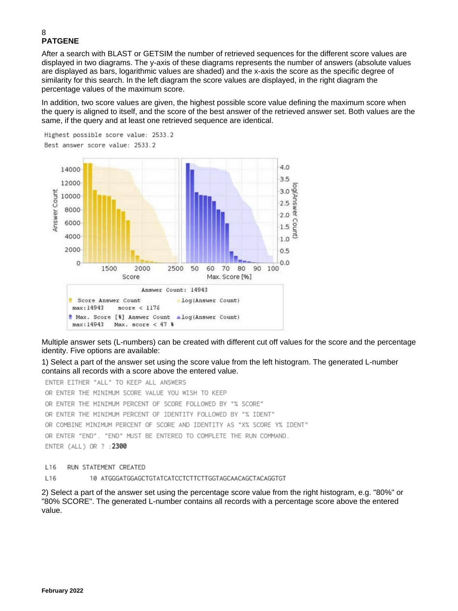After a search with BLAST or GETSIM the number of retrieved sequences for the different score values are displayed in two diagrams. The y-axis of these diagrams represents the number of answers (absolute values are displayed as bars, logarithmic values are shaded) and the x-axis the score as the specific degree of similarity for this search. In the left diagram the score values are displayed, in the right diagram the percentage values of the maximum score.

In addition, two score values are given, the highest possible score value defining the maximum score when the query is aligned to itself, and the score of the best answer of the retrieved answer set. Both values are the same, if the query and at least one retrieved sequence are identical.



Multiple answer sets (L-numbers) can be created with different cut off values for the score and the percentage identity. Five options are available:

1) Select a part of the answer set using the score value from the left histogram. The generated L-number contains all records with a score above the entered value.

ENTER EITHER "ALL" TO KEEP ALL ANSWERS OR ENTER THE MINIMUM SCORE VALUE YOU WISH TO KEEP OR ENTER THE MINIMUM PERCENT OF SCORE FOLLOWED BY "% SCORE" OR ENTER THE MINIMUM PERCENT OF IDENTITY FOLLOWED BY "% IDENT" OR COMBINE MINIMUM PERCENT OF SCORE AND IDENTITY AS "X% SCORE Y% IDENT" OR ENTER "END". "END" MUST BE ENTERED TO COMPLETE THE RUN COMMAND. ENTER (ALL) OR ? : 2300

L16 RUN STATEMENT CREATED

L16 10 ATGGGATGGAGCTGTATCATCCTCTTCTTGGTAGCAACAGCTACAGGTGT

2) Select a part of the answer set using the percentage score value from the right histogram, e.g. "80%" or "80% SCORE". The generated L-number contains all records with a percentage score above the entered value.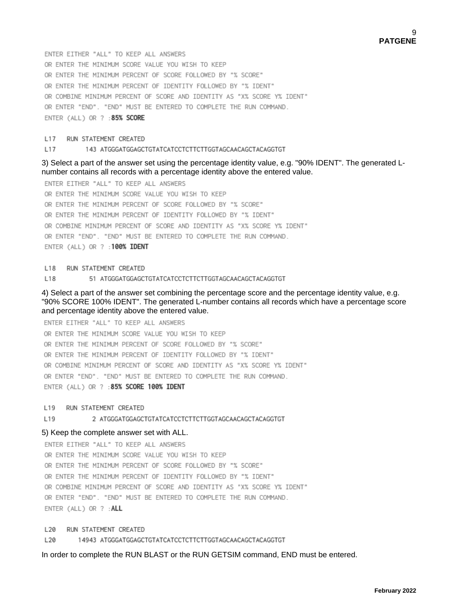ENTER EITHER "ALL" TO KEEP ALL ANSWERS OR ENTER THE MINIMUM SCORE VALUE YOU WISH TO KEEP OR ENTER THE MINIMUM PERCENT OF SCORE FOLLOWED BY "% SCORE" OR ENTER THE MINIMUM PERCENT OF IDENTITY FOLLOWED BY "% IDENT" OR COMBINE MINIMUM PERCENT OF SCORE AND IDENTITY AS "X% SCORE Y% IDENT" OR ENTER "END". "END" MUST BE ENTERED TO COMPLETE THE RUN COMMAND. ENTER (ALL) OR ? : 85% SCORE

#### L17 RUN STATEMENT CREATED

#### L17 143 ATGGGATGGAGCTGTATCATCCTCTTCTTGGTAGCAACAGCTACAGGTGT

3) Select a part of the answer set using the percentage identity value, e.g. "90% IDENT". The generated Lnumber contains all records with a percentage identity above the entered value.

ENTER EITHER "ALL" TO KEEP ALL ANSWERS OR ENTER THE MINIMUM SCORE VALUE YOU WISH TO KEEP OR ENTER THE MINIMUM PERCENT OF SCORE FOLLOWED BY "% SCORE" OR ENTER THE MINIMUM PERCENT OF IDENTITY FOLLOWED BY "% IDENT" OR COMBINE MINIMUM PERCENT OF SCORE AND IDENTITY AS "X% SCORE Y% IDENT" OR ENTER "END". "END" MUST BE ENTERED TO COMPLETE THE RUN COMMAND. ENTER (ALL) OR ? : 100% IDENT

L18 RUN STATEMENT CREATED

L18 51 ATGGGATGGAGCTGTATCATCCTCTTCTTGGTAGCAACAGCTACAGGTGT

4) Select a part of the answer set combining the percentage score and the percentage identity value, e.g. "90% SCORE 100% IDENT". The generated L-number contains all records which have a percentage score and percentage identity above the entered value.

ENTER EITHER "ALL" TO KEEP ALL ANSWERS OR ENTER THE MINIMUM SCORE VALUE YOU WISH TO KEEP OR ENTER THE MINIMUM PERCENT OF SCORE FOLLOWED BY "% SCORE" OR ENTER THE MINIMUM PERCENT OF IDENTITY FOLLOWED BY "% IDENT" OR COMBINE MINIMUM PERCENT OF SCORE AND IDENTITY AS "X% SCORE Y% IDENT" OR ENTER "END". "END" MUST BE ENTERED TO COMPLETE THE RUN COMMAND. ENTER (ALL) OR ? : 85% SCORE 100% IDENT

L19 RUN STATEMENT CREATED

L19 2 ATGGGATGGAGCTGTATCATCCTCTTCTTGGTAGCAACAGCTACAGGTGT

#### 5) Keep the complete answer set with ALL.

ENTER EITHER "ALL" TO KEEP ALL ANSWERS OR ENTER THE MINIMUM SCORE VALUE YOU WISH TO KEEP OR ENTER THE MINIMUM PERCENT OF SCORE FOLLOWED BY "% SCORE" OR ENTER THE MINIMUM PERCENT OF IDENTITY FOLLOWED BY "% IDENT" OR COMBINE MINIMUM PERCENT OF SCORE AND IDENTITY AS "X% SCORE Y% IDENT" OR ENTER "END". "END" MUST BE ENTERED TO COMPLETE THE RUN COMMAND. ENTER (ALL) OR ? : ALL

L20 RUN STATEMENT CREATED

L20 14943 ATGGGATGGAGCTGTATCATCCTCTTCTTGGTAGCAACAGCTACAGGTGT

In order to complete the RUN BLAST or the RUN GETSIM command, END must be entered.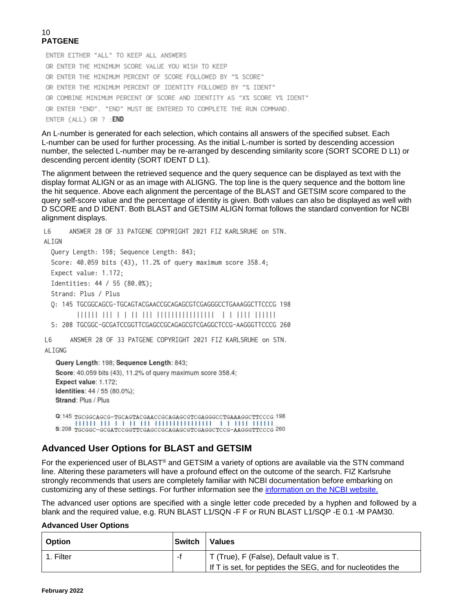ENTER EITHER "ALL" TO KEEP ALL ANSWERS OR ENTER THE MINIMUM SCORE VALUE YOU WISH TO KEEP OR ENTER THE MINIMUM PERCENT OF SCORE FOLLOWED BY "% SCORE" OR ENTER THE MINIMUM PERCENT OF IDENTITY FOLLOWED BY "% IDENT" OR COMBINE MINIMUM PERCENT OF SCORE AND IDENTITY AS "X% SCORE Y% IDENT" OR ENTER "END". "END" MUST BE ENTERED TO COMPLETE THE RUN COMMAND. ENTER (ALL) OR ? : END

An L-number is generated for each selection, which contains all answers of the specified subset. Each L-number can be used for further processing. As the initial L-number is sorted by descending accession number, the selected L-number may be re-arranged by descending similarity score (SORT SCORE D L1) or descending percent identity (SORT IDENT D L1).

The alignment between the retrieved sequence and the query sequence can be displayed as text with the display format ALIGN or as an image with ALIGNG. The top line is the query sequence and the bottom line the hit sequence. Above each alignment the percentage of the BLAST and GETSIM score compared to the query self-score value and the percentage of identity is given. Both values can also be displayed as well with D SCORE and D IDENT. Both BLAST and GETSIM ALIGN format follows the standard convention for NCBI alignment displays.

L6 ANSWER 28 OF 33 PATGENE COPYRIGHT 2021 FIZ KARLSRUHE on STN. ALIGN Query Length: 198; Sequence Length: 843; Score: 40.059 bits (43), 11.2% of query maximum score 358.4; Expect value: 1.172: Identities: 44 / 55 (80.0%); Strand: Plus / Plus Q: 145 TGCGGCAGCG-TGCAGTACGAACCGCAGAGCGTCGAGGGCCTGAAAGGCTTCCCG 198 S: 208 TGCGGC-GCGATCCGGTTCGAGCCGCAGAGCGTCGAGGCTCCG-AAGGGTTCCCG 260 ANSWER 28 OF 33 PATGENE COPYRIGHT 2021 FIZ KARLSRUHE on STN. L6 ALIGNG Query Length: 198; Sequence Length: 843; Score: 40.059 bits (43), 11.2% of query maximum score 358.4; Expect value: 1.172; Identities: 44 / 55 (80.0%); Strand: Plus / Plus

Q:145 TGCGGCAGCG-TGCAGTACGAACCGCAGAGCGTCGAGGGCCTGAAAGGCTTCCCG 198 S:208 TGCGGC-GCGATCCGGTTCGAGCCGCAGAGCGTCGAGGCTCCG-AAGGGTTCCCG 260

## **Advanced User Options for BLAST and GETSIM**

For the experienced user of BLAST<sup>®</sup> and GETSIM a variety of options are available via the STN command line. Altering these parameters will have a profound effect on the outcome of the search. FIZ Karlsruhe strongly recommends that users are completely familiar with NCBI documentation before embarking on customizing any of these settings. For further information see the [information on the NCBI website.](http://blast.ncbi.nlm.nih.gov/Blast.cgi?CMD=Web&PAGE_TYPE=BlastDocs)

The advanced user options are specified with a single letter code preceded by a hyphen and followed by a blank and the required value, e.g. RUN BLAST L1/SQN -F F or RUN BLAST L1/SQP -E 0.1 -M PAM30.

#### **Advanced User Options**

| l Option  | <b>Switch</b> | <b>Values</b>                                              |
|-----------|---------------|------------------------------------------------------------|
| 1. Filter |               | T (True), F (False), Default value is T.                   |
|           |               | If T is set, for peptides the SEG, and for nucleotides the |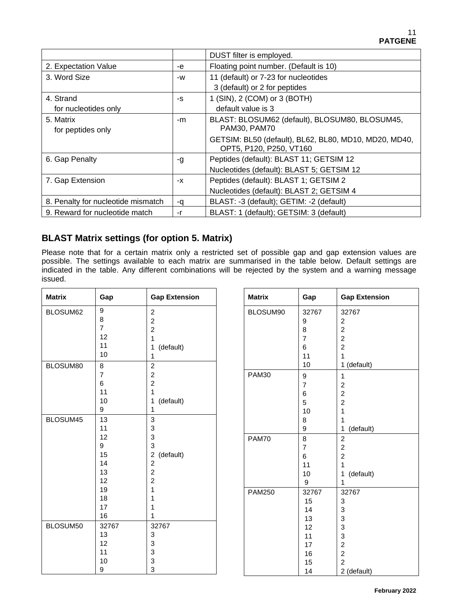|                                    |    | DUST filter is employed.                                                         |
|------------------------------------|----|----------------------------------------------------------------------------------|
| 2. Expectation Value               | -e | Floating point number. (Default is 10)                                           |
| 3. Word Size                       | -W | 11 (default) or 7-23 for nucleotides                                             |
|                                    |    | 3 (default) or 2 for peptides                                                    |
| 4. Strand                          | -S | 1 (SIN), 2 (COM) or 3 (BOTH)                                                     |
| for nucleotides only               |    | default value is 3                                                               |
| 5. Matrix                          | -m | BLAST: BLOSUM62 (default), BLOSUM80, BLOSUM45,                                   |
| for peptides only                  |    | PAM30, PAM70                                                                     |
|                                    |    | GETSIM: BL50 (default), BL62, BL80, MD10, MD20, MD40,<br>OPT5, P120, P250, VT160 |
| 6. Gap Penalty                     | -g | Peptides (default): BLAST 11; GETSIM 12                                          |
|                                    |    | Nucleotides (default): BLAST 5; GETSIM 12                                        |
| 7. Gap Extension                   | -X | Peptides (default): BLAST 1; GETSIM 2                                            |
|                                    |    | Nucleotides (default): BLAST 2; GETSIM 4                                         |
| 8. Penalty for nucleotide mismatch | -q | BLAST: -3 (default); GETIM: -2 (default)                                         |
| 9. Reward for nucleotide match     | -r | BLAST: 1 (default); GETSIM: 3 (default)                                          |

### **BLAST Matrix settings (for option 5. Matrix)**

Please note that for a certain matrix only a restricted set of possible gap and gap extension values are possible. The settings available to each matrix are summarised in the table below. Default settings are indicated in the table. Any different combinations will be rejected by the system and a warning message issued.

| <b>Matrix</b> | Gap              | <b>Gap Extension</b>                 | <b>Matrix</b> | Gap              | <b>Gap Extension</b> |
|---------------|------------------|--------------------------------------|---------------|------------------|----------------------|
| BLOSUM62      | $\boldsymbol{9}$ | $\boldsymbol{2}$                     | BLOSUM90      | 32767            | 32767                |
|               | 8                | $\overline{2}$                       |               | 9                | $\overline{c}$       |
|               | $\overline{7}$   | $\boldsymbol{2}$                     |               | 8                | $\boldsymbol{2}$     |
|               | 12               | 1                                    |               | $\overline{7}$   | $\overline{c}$       |
|               | 11               | (default)<br>1                       |               | 6                | $\overline{c}$       |
|               | 10               | 1                                    |               | 11               | 1                    |
| BLOSUM80      | $\bf8$           | $\boldsymbol{2}$                     |               | 10               | 1 (default)          |
|               | $\overline{7}$   | $\overline{c}$                       | <b>PAM30</b>  | $\boldsymbol{9}$ | $\mathbf{1}$         |
|               | $\,6$            | $\boldsymbol{2}$                     |               | $\overline{7}$   | $\overline{c}$       |
|               | 11               | 1                                    |               | $\,6$            | $\overline{c}$       |
|               | 10               | (default)<br>1                       |               | 5                | $\overline{c}$       |
|               | 9                | 1                                    |               | 10               | 1                    |
| BLOSUM45      | 13               | $\mathsf 3$                          |               | 8                | 1                    |
|               | 11               | 3                                    |               | 9                | (default)<br>1       |
|               | 12               | 3                                    | <b>PAM70</b>  | $\overline{8}$   | $\overline{2}$       |
|               | 9                | $\ensuremath{\mathsf{3}}$            |               | $\overline{7}$   | $\overline{c}$       |
|               | 15               | $\overline{\mathbf{c}}$<br>(default) |               | 6                | $\overline{c}$       |
|               | 14               | $\boldsymbol{2}$                     |               | 11               | 1                    |
|               | 13               | $\boldsymbol{2}$                     |               | 10               | (default)<br>1       |
|               | 12               | $\overline{c}$                       |               | 9                | 1                    |
|               | 19               | 1                                    | <b>PAM250</b> | 32767            | 32767                |
|               | 18               | 1                                    |               | 15               | 3                    |
|               | 17               | 1                                    |               | 14               | 3                    |
|               | 16               | 1                                    |               | 13               | 3                    |
| BLOSUM50      | 32767            | 32767                                |               | 12               | 3                    |
|               | 13               | $\ensuremath{\mathsf{3}}$            |               | 11               | 3                    |
|               | 12               | $\ensuremath{\mathsf{3}}$            |               | 17               | $\boldsymbol{2}$     |
|               | 11               | 3                                    |               | 16               | $\overline{2}$       |
|               | 10               | 3                                    |               | 15               | $\overline{c}$       |
|               | 9                | $\ensuremath{\mathsf{3}}$            |               | 14               | 2 (default)          |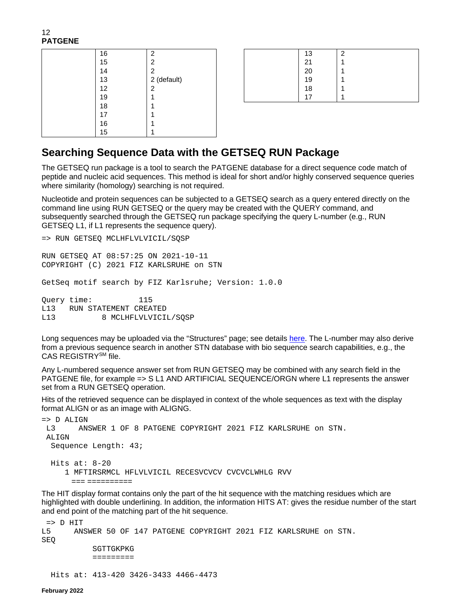12 **PATGENE**

| 16 | 2              |
|----|----------------|
| 15 | 2              |
| 14 | $\overline{c}$ |
| 13 | 2 (default)    |
| 12 | $\overline{c}$ |
| 19 |                |
| 18 |                |
| 17 |                |
| 16 |                |
| 15 |                |

|  | 13             | $\mathcal{P}$ |
|--|----------------|---------------|
|  | 21             | ٠             |
|  |                |               |
|  |                |               |
|  | 20<br>19<br>18 |               |
|  | 17             |               |

### **Searching Sequence Data with the GETSEQ RUN Package**

The GETSEQ run package is a tool to search the PATGENE database for a direct sequence code match of peptide and nucleic acid sequences. This method is ideal for short and/or highly conserved sequence queries where similarity (homology) searching is not required.

Nucleotide and protein sequences can be subjected to a GETSEQ search as a query entered directly on the command line using RUN GETSEQ or the query may be created with the QUERY command, and subsequently searched through the GETSEQ run package specifying the query L-number (e.g., RUN GETSEQ L1, if L1 represents the sequence query).

```
=> RUN GETSEQ MCLHFLVLVICIL/SQSP
```
RUN GETSEQ AT 08:57:25 ON 2021-10-11 COPYRIGHT (C) 2021 FIZ KARLSRUHE on STN

GetSeq motif search by FIZ Karlsruhe; Version: 1.0.0

Query time: 115 L13 RUN STATEMENT CREATED<br>L13 8 MCLHFLVLVICI 8 MCLHFLVLVICIL/SQSP

Long sequences may be uploaded via the "Structures" page; see details [here.](https://www.stn.org/help/stnext/#t=Building_the_Query%2FUsing_Biosequences%2FUsing_Biosequences_for_Queries.htm) The L-number may also derive from a previous sequence search in another STN database with bio sequence search capabilities, e.g., the CAS REGISTRYSM file.

Any L-numbered sequence answer set from RUN GETSEQ may be combined with any search field in the PATGENE file, for example => S L1 AND ARTIFICIAL SEQUENCE/ORGN where L1 represents the answer set from a RUN GETSEQ operation.

Hits of the retrieved sequence can be displayed in context of the whole sequences as text with the display format ALIGN or as an image with ALIGNG.

```
= > D ALIGN<br>I_13 AN:
        ANSWER 1 OF 8 PATGENE COPYRIGHT 2021 FIZ KARLSRUHE on STN.
ALIGN
   Sequence Length: 43;
   Hits at: 8-20
      1 MFTIRSRMCL HFLVLVICIL RECESVCVCV CVCVCLWHLG RVV
        === ==========
```
The HIT display format contains only the part of the hit sequence with the matching residues which are highlighted with double underlining. In addition, the information HITS AT: gives the residue number of the start and end point of the matching part of the hit sequence.

```
=> D HIT 
L5 ANSWER 50 OF 147 PATGENE COPYRIGHT 2021 FIZ KARLSRUHE on STN. 
SEQ 
            SGTTGKPKG 
            ========= 
  Hits at: 413-420 3426-3433 4466-4473
```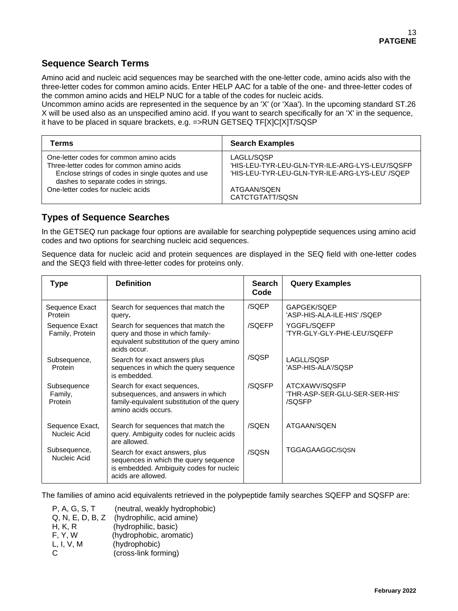### **Sequence Search Terms**

Amino acid and nucleic acid sequences may be searched with the one-letter code, amino acids also with the three-letter codes for common amino acids. Enter HELP AAC for a table of the one- and three-letter codes of the common amino acids and HELP NUC for a table of the codes for nucleic acids.

Uncommon amino acids are represented in the sequence by an 'X' (or 'Xaa'). In the upcoming standard ST.26 X will be used also as an unspecified amino acid. If you want to search specifically for an 'X' in the sequence, it have to be placed in square brackets, e.g. =>RUN GETSEQ TF[X]C[X]T/SQSP

| Terms                                             | <b>Search Examples</b>                          |
|---------------------------------------------------|-------------------------------------------------|
| One-letter codes for common amino acids           | LAGLL/SQSP                                      |
| Three-letter codes for common amino acids         | 'HIS-LEU-TYR-LEU-GLN-TYR-ILE-ARG-LYS-LEU'/SOSFP |
| Enclose strings of codes in single quotes and use | 'HIS-LEU-TYR-LEU-GLN-TYR-ILE-ARG-LYS-LEU' /SQEP |
| dashes to separate codes in strings.              | ATGAAN/SQEN                                     |
| One-letter codes for nucleic acids                | CATCTGTATT/SQSN                                 |

### **Types of Sequence Searches**

In the GETSEQ run package four options are available for searching polypeptide sequences using amino acid codes and two options for searching nucleic acid sequences.

Sequence data for nucleic acid and protein sequences are displayed in the SEQ field with one-letter codes and the SEQ3 field with three-letter codes for proteins only.

| Type                              | <b>Definition</b>                                                                                                                         | <b>Search</b><br>Code | <b>Query Examples</b>                                    |
|-----------------------------------|-------------------------------------------------------------------------------------------------------------------------------------------|-----------------------|----------------------------------------------------------|
| Sequence Exact<br>Protein         | Search for sequences that match the<br>query.                                                                                             | /SQEP                 | GAPGEK/SQEP<br>'ASP-HIS-ALA-ILE-HIS' /SQEP               |
| Sequence Exact<br>Family, Protein | Search for sequences that match the<br>query and those in which family-<br>equivalent substitution of the query amino<br>acids occur.     | /SQEFP                | YGGFL/SQEFP<br>'TYR-GLY-GLY-PHE-LEU'/SQEFP               |
| Subsequence,<br>Protein           | Search for exact answers plus<br>sequences in which the query sequence<br>is embedded.                                                    | /SQSP                 | LAGLL/SQSP<br>'ASP-HIS-ALA'/SQSP                         |
| Subsequence<br>Family,<br>Protein | Search for exact sequences,<br>subsequences, and answers in which<br>family-equivalent substitution of the query<br>amino acids occurs.   | /SQSFP                | ATCXAWV/SQSFP<br>'THR-ASP-SER-GLU-SER-SER-HIS'<br>/SQSFP |
| Sequence Exact,<br>Nucleic Acid   | Search for sequences that match the<br>query. Ambiguity codes for nucleic acids<br>are allowed.                                           | /SQEN                 | ATGAAN/SQEN                                              |
| Subsequence,<br>Nucleic Acid      | Search for exact answers, plus<br>sequences in which the query sequence<br>is embedded. Ambiguity codes for nucleic<br>acids are allowed. | /SQSN                 | TGGAGAAGGC/SQSN                                          |

The families of amino acid equivalents retrieved in the polypeptide family searches SQEFP and SQSFP are:

P, A, G, S, T (neutral, weakly hydrophobic)<br>Q, N, E, D, B, Z (hydrophilic, acid amine) (hydrophilic, acid amine) H, K, R (hydrophilic, basic) F, Y, W (hydrophobic, aromatic)<br>L, I, V, M (hydrophobic) (hydrophobic) C (cross-link forming)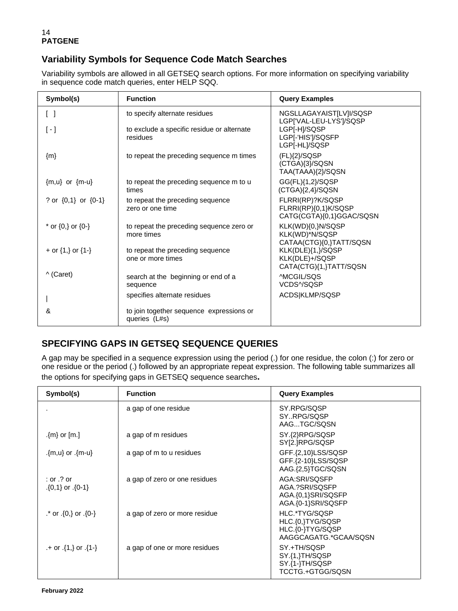### **Variability Symbols for Sequence Code Match Searches**

Variability symbols are allowed in all GETSEQ search options. For more information on specifying variability in sequence code match queries, enter HELP SQQ.

| Symbol(s)                         | <b>Function</b>                                           | <b>Query Examples</b>                                                |
|-----------------------------------|-----------------------------------------------------------|----------------------------------------------------------------------|
| $\begin{bmatrix} 1 \end{bmatrix}$ | to specify alternate residues                             | NGSLLAGAYAIST[LV]I/SQSP<br>LGP['VAL-LEU-LYS']/SQSP                   |
| $\lceil - \rceil$                 | to exclude a specific residue or alternate<br>residues    | LGP[-H]/SQSP<br>LGP[-'HIS']/SQSFP<br>LGP[-HL]/SQSP                   |
| ${m}$                             | to repeat the preceding sequence m times                  | $(FL)$ {2}/SQSP<br>(CTGA){3}/SQSN<br>TAA(TAAA){2}/SQSN               |
| ${m,u}$ or ${m-u}$                | to repeat the preceding sequence m to u<br>times          | GG(FL){1,2}/SQSP<br>$(CTGA){2,4}/SQSN$                               |
| ? or $\{0,1\}$ or $\{0-1\}$       | to repeat the preceding sequence<br>zero or one time      | FLRRI(RP)?K/SQSP<br>FLRRI(RP){0,1}K/SQSP<br>CATG(CGTA){0,1}GGAC/SQSN |
| * or $\{0,\}$ or $\{0-\}$         | to repeat the preceding sequence zero or<br>more times    | KLK(WD){0,}N/SQSP<br>KLK(WD)*N/SQSP<br>CATAA(CTG){0,}TATT/SQSN       |
| + or $\{1, \}$ or $\{1 - \}$      | to repeat the preceding sequence<br>one or more times     | KLK(DLE){1,}/SQSP<br>KLK(DLE)+/SQSP<br>CATA(CTG){1,}TATT/SQSN        |
| ^ (Caret)                         | search at the beginning or end of a<br>sequence           | <b>MCGIL/SOS</b><br>VCDS^/SQSP                                       |
|                                   | specifies alternate residues                              | ACDS KLMP/SQSP                                                       |
| &                                 | to join together sequence expressions or<br>queries (L#s) |                                                                      |

## **SPECIFYING GAPS IN GETSEQ SEQUENCE QUERIES**

A gap may be specified in a sequence expression using the period (.) for one residue, the colon (:) for zero or one residue or the period (.) followed by an appropriate repeat expression. The following table summarizes all the options for specifying gaps in GETSEQ sequence searches**.**

| Symbol(s)                                | <b>Function</b>               | <b>Query Examples</b>                                                          |
|------------------------------------------|-------------------------------|--------------------------------------------------------------------------------|
|                                          | a gap of one residue          | SY.RPG/SQSP<br>SYRPG/SQSP<br>AAGTGC/SQSN                                       |
| $\{m\}$ or $[m.]$                        | a gap of m residues           | SY.{2}RPG/SQSP<br>SY[2.]RPG/SQSP                                               |
| {m-u} or .{m-u}                          | a gap of m to u residues      | GFF.{2,10}LSS/SQSP<br>GFF.{2-10}LSS/SQSP<br>AAG.{2,5}TGC/SQSN                  |
| $:$ or $.?$ or<br>$\{0,1\}$ or $\{0-1\}$ | a gap of zero or one residues | AGA:SRI/SQSFP<br>AGA.?SRI/SQSFP<br>AGA.{0,1}SRI/SQSFP<br>AGA.{0-1}SRI/SQSFP    |
| $\cdot$ or $\{0\}$ or $\{0\}$ .          | a gap of zero or more residue | HLC.*TYG/SQSP<br>HLC.{0,}TYG/SQSP<br>HLC.{0-}TYG/SQSP<br>AAGGCAGATG.*GCAA/SQSN |
| $+$ or $\{1, \}$ or $\{1\}$              | a gap of one or more residues | SY.+TH/SQSP<br>SY.{1,}TH/SQSP<br>SY.{1-}TH/SQSP<br>TCCTG.+GTGG/SQSN            |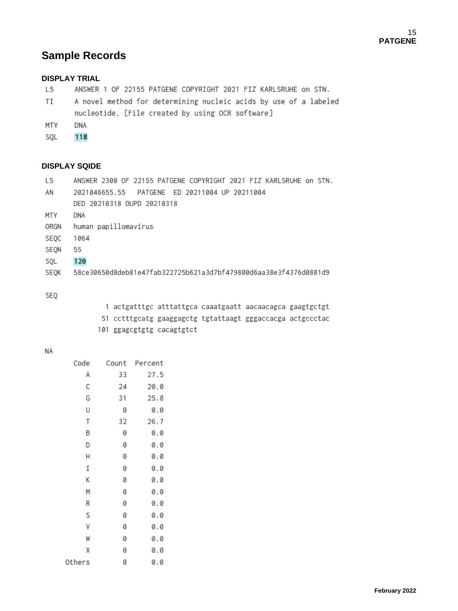# **Sample Records**

### **DISPLAY TRIAL**

- L<sub>5</sub> ANSWER 1 OF 22155 PATGENE COPYRIGHT 2021 FIZ KARLSRUHE on STN.
- TI A novel method for determining nucleic acids by use of a labeled nucleotide. [File created by using OCR software]
- MTY DNA
- 118 SQL

### **DISPLAY SQIDE**

| L5   | ANSWER 2300 OF 22155 PATGENE COPYRIGHT 2021 FIZ KARLSRUHE on STN. |
|------|-------------------------------------------------------------------|
| AN   | PATGENE ED 20211004 UP 20211004<br>2021046655.55                  |
|      | DED 20210318 DUPD 20210318                                        |
| MTY  | DNA                                                               |
| ORGN | human papillomavirus                                              |
| SEQC | 1064                                                              |
| SEQN | 55                                                                |
| SQL  | 120                                                               |
| SEQK | 58ce30650d8deb81e47fab322725b621a3d7bf479800d6aa38e3f4376d0881d9  |
|      |                                                                   |

#### SEQ

| 1 actgatttgc atttattgca caaatgaatt aacaacagca gaagtgctgt  |  |  |
|-----------------------------------------------------------|--|--|
| 51 cctttgcatg gaaggagctg tgtattaagt gggaccacga actgccctac |  |  |
| 101 ggagcgtgtg cacagtgtct                                 |  |  |

#### **NA**

| Code   | Count | Percent |
|--------|-------|---------|
| Α      | 33    | 27.5    |
| С      | 24    | 20.0    |
| G      | 31    | 25.8    |
| U      | 0     | 0.0     |
| Τ      | 32    | 26.7    |
| В      | 0     | 0.0     |
| D      | 0     | 0.0     |
| Н      | 0     | 0.0     |
| I      | 0     | 0.0     |
| Κ      | 0     | 0.0     |
| М      | 0     | 0.0     |
| R      | 0     | 0.0     |
| S      | 0     | 0.0     |
| ٧      | 0     | 0.0     |
| W      | 0     | 0.0     |
| χ      | 0     | 0.0     |
| Others | 0     | 0.0     |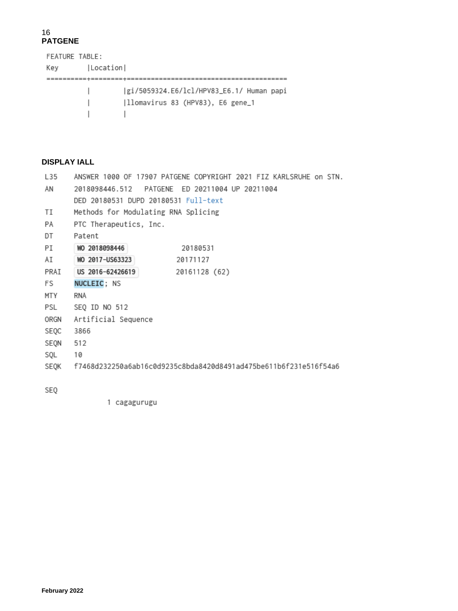FEATURE TABLE: Key | Location | |gi/5059324.E6/lcl/HPV83\_E6.1/ Human papi  $\mathbf{L}$  $\mathbf{L}$  $\Box$ 

### **DISPLAY IALL**

| L <sub>35</sub> | ANSWER 1000 OF 17907 PATGENE COPYRIGHT 2021 FIZ KARLSRUHE on STN. |
|-----------------|-------------------------------------------------------------------|
| ΑN              |                                                                   |
|                 | DED 20180531 DUPD 20180531 Full-text                              |
| TI              | Methods for Modulating RNA Splicing                               |
| PA              | PTC Therapeutics, Inc.                                            |
| DT              | Patent                                                            |
| PI              | WO 2018098446<br>20180531                                         |
| AI              | WO 2017-US63323<br>20171127                                       |
| PRAI            | US 2016-62426619<br>20161128 (62)                                 |
| FS.             | NUCLEIC; NS                                                       |
| MTY             | RNA                                                               |
| PSL             | SEQ ID NO 512                                                     |
| ORGN            | Artificial Sequence                                               |
| SEQC            | 3866                                                              |
| SEQN            | 512                                                               |
| SQL             | 10                                                                |
| SEQK            | f7468d232250a6ab16c0d9235c8bda8420d8491ad475be611b6f231e516f54a6  |
|                 |                                                                   |

SEQ

1 cagagurugu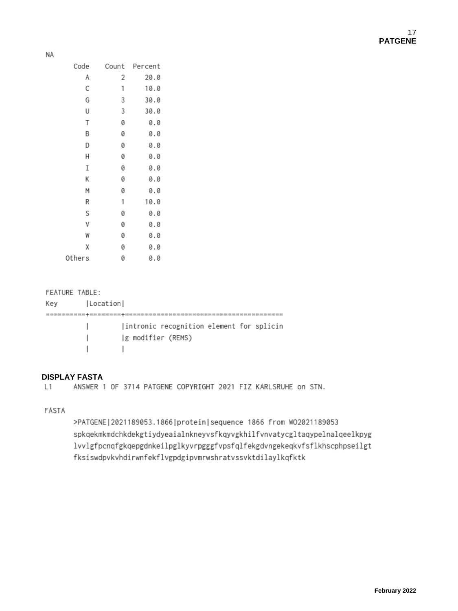| Code   | Count | Percent |
|--------|-------|---------|
| Α      | 2     | 20.0    |
| С      | 1     | 10.0    |
| G      | 3     | 30.0    |
| U      | 3     | 30.0    |
| Τ      | 0     | 0.0     |
| В      | 0     | 0.0     |
| D      | 0     | 0.0     |
| Н      | 0     | 0.0     |
| Ι      | 0     | 0.0     |
| Κ      | 0     | 0.0     |
| Μ      | 0     | 0.0     |
| R      | 1     | 10.0    |
| S      | 0     | 0.0     |
| ٧      | 0     | 0.0     |
| W      | 0     | 0.0     |
| χ      | 0     | 0.0     |
| Others | 0     | 0.0     |

#### FEATURE TABLE:

| Kev | Location |                                           |
|-----|----------|-------------------------------------------|
|     |          |                                           |
|     |          | lintronic recognition element for splicin |
|     |          | g modifier (REMS)                         |
|     |          |                                           |

### **DISPLAY FASTA**

 $L1$ ANSWER 1 OF 3714 PATGENE COPYRIGHT 2021 FIZ KARLSRUHE on STN.

FASTA

>PATGENE | 2021189053.1866 | protein | sequence 1866 from W02021189053 spkqekmkmdchkdekgtiydyeaialnkneyvsfkqyvgkhilfvnvatycgltaqypelnalqeelkpyg lvvlgfpcnqfgkqepgdnkeilpglkyvrpgggfvpsfqlfekgdvngekeqkvfsflkhscphpseilgt fksiswdpvkvhdirwnfekflvgpdgipvmrwshratvssvktdilaylkqfktk